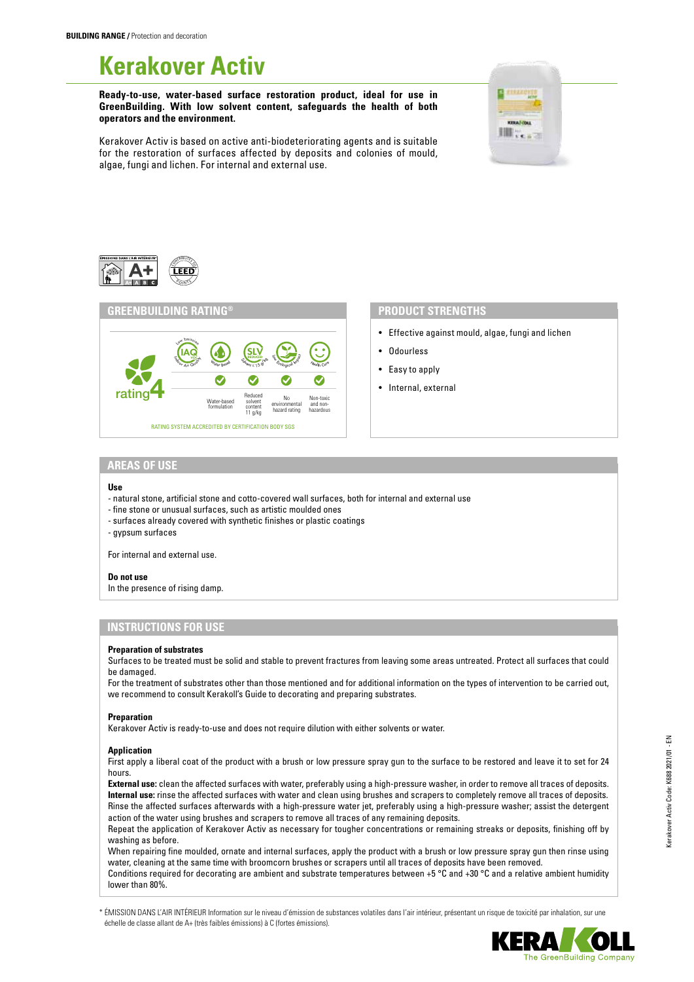# **Kerakover Activ**

**Ready-to-use, water-based surface restoration product, ideal for use in GreenBuilding. With low solvent content, safeguards the health of both operators and the environment.**



Kerakover Activ is based on active anti-biodeteriorating agents and is suitable for the restoration of surfaces affected by deposits and colonies of mould, algae, fungi and lichen. For internal and external use.





- Effective against mould, algae, fungi and lichen
- Odourless
- Easy to apply
- Internal, external

# **AREAS OF USE**

#### **Use**

- natural stone, artificial stone and cotto-covered wall surfaces, both for internal and external use
- fine stone or unusual surfaces, such as artistic moulded ones
- surfaces already covered with synthetic finishes or plastic coatings
- gypsum surfaces

For internal and external use.

#### **Do not use**

In the presence of rising damp.

# **INSTRUCTIONS FOR USE**

#### **Preparation of substrates**

Surfaces to be treated must be solid and stable to prevent fractures from leaving some areas untreated. Protect all surfaces that could be damaged.

For the treatment of substrates other than those mentioned and for additional information on the types of intervention to be carried out, we recommend to consult Kerakoll's Guide to decorating and preparing substrates.

#### **Preparation**

Kerakover Activ is ready-to-use and does not require dilution with either solvents or water.

### **Application**

First apply a liberal coat of the product with a brush or low pressure spray gun to the surface to be restored and leave it to set for 24 hours.

**External use:** clean the affected surfaces with water, preferably using a high-pressure washer, in order to remove all traces of deposits. **Internal use:** rinse the affected surfaces with water and clean using brushes and scrapers to completely remove all traces of deposits. Rinse the affected surfaces afterwards with a high-pressure water jet, preferably using a high-pressure washer; assist the detergent action of the water using brushes and scrapers to remove all traces of any remaining deposits.

Repeat the application of Kerakover Activ as necessary for tougher concentrations or remaining streaks or deposits, finishing off by washing as before.

When repairing fine moulded, ornate and internal surfaces, apply the product with a brush or low pressure spray gun then rinse using water, cleaning at the same time with broomcorn brushes or scrapers until all traces of deposits have been removed.

Conditions required for decorating are ambient and substrate temperatures between +5 °C and +30 °C and a relative ambient humidity lower than 80%.

\* ÉMISSION DANS L'AIR INTÉRIEUR Information sur le niveau d'émission de substances volatiles dans l'air intérieur, présentant un risque de toxicité par inhalation, sur une échelle de classe allant de A+ (très faibles émissions) à C (fortes émissions).



Kerakover Activ Code: K688 2021/01 - EN

Kerakover Activ Code: K688 2021/01 - EN